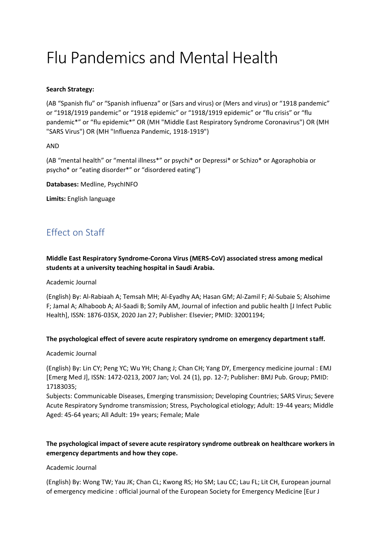# Flu Pandemics and Mental Health

### **Search Strategy:**

(AB "Spanish flu" or "Spanish influenza" or (Sars and virus) or (Mers and virus) or "1918 pandemic" or "1918/1919 pandemic" or "1918 epidemic" or "1918/1919 epidemic" or "flu crisis" or "flu pandemic\*" or "flu epidemic\*" OR (MH "Middle East Respiratory Syndrome Coronavirus") OR (MH "SARS Virus") OR (MH "Influenza Pandemic, 1918-1919")

#### AND

(AB "mental health" or "mental illness\*" or psychi\* or Depressi\* or Schizo\* or Agoraphobia or psycho\* or "eating disorder\*" or "disordered eating")

**Databases:** Medline, PsychINFO

**Limits:** English language

# Effect on Staff

**Middle East Respiratory Syndrome-Corona Virus (MERS-CoV) associated stress among medical students at a university teaching hospital in Saudi Arabia.**

Academic Journal

(English) By: Al-Rabiaah A; Temsah MH; Al-Eyadhy AA; Hasan GM; Al-Zamil F; Al-Subaie S; Alsohime F; Jamal A; Alhaboob A; Al-Saadi B; Somily AM, Journal of infection and public health [J Infect Public Health], ISSN: 1876-035X, 2020 Jan 27; Publisher: Elsevier; PMID: 32001194;

# **The psychological effect of severe acute respiratory syndrome on emergency department staff.**

Academic Journal

(English) By: Lin CY; Peng YC; Wu YH; Chang J; Chan CH; Yang DY, Emergency medicine journal : EMJ [Emerg Med J], ISSN: 1472-0213, 2007 Jan; Vol. 24 (1), pp. 12-7; Publisher: BMJ Pub. Group; PMID: 17183035;

Subjects: Communicable Diseases, Emerging transmission; Developing Countries; SARS Virus; Severe Acute Respiratory Syndrome transmission; Stress, Psychological etiology; Adult: 19-44 years; Middle Aged: 45-64 years; All Adult: 19+ years; Female; Male

# **The psychological impact of severe acute respiratory syndrome outbreak on healthcare workers in emergency departments and how they cope.**

#### Academic Journal

(English) By: Wong TW; Yau JK; Chan CL; Kwong RS; Ho SM; Lau CC; Lau FL; Lit CH, European journal of emergency medicine : official journal of the European Society for Emergency Medicine [Eur J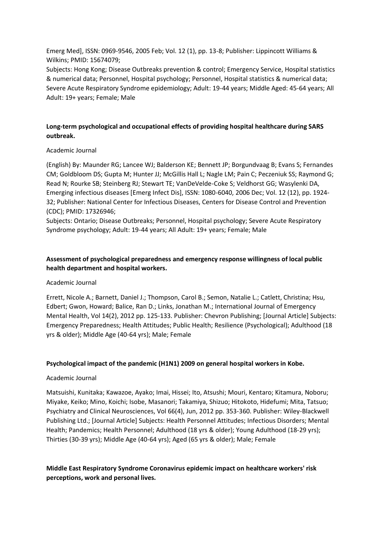Emerg Med], ISSN: 0969-9546, 2005 Feb; Vol. 12 (1), pp. 13-8; Publisher: Lippincott Williams & Wilkins; PMID: 15674079;

Subjects: Hong Kong; Disease Outbreaks prevention & control; Emergency Service, Hospital statistics & numerical data; Personnel, Hospital psychology; Personnel, Hospital statistics & numerical data; Severe Acute Respiratory Syndrome epidemiology; Adult: 19-44 years; Middle Aged: 45-64 years; All Adult: 19+ years; Female; Male

# **Long-term psychological and occupational effects of providing hospital healthcare during SARS outbreak.**

#### Academic Journal

(English) By: Maunder RG; Lancee WJ; Balderson KE; Bennett JP; Borgundvaag B; Evans S; Fernandes CM; Goldbloom DS; Gupta M; Hunter JJ; McGillis Hall L; Nagle LM; Pain C; Peczeniuk SS; Raymond G; Read N; Rourke SB; Steinberg RJ; Stewart TE; VanDeVelde-Coke S; Veldhorst GG; Wasylenki DA, Emerging infectious diseases [Emerg Infect Dis], ISSN: 1080-6040, 2006 Dec; Vol. 12 (12), pp. 1924- 32; Publisher: National Center for Infectious Diseases, Centers for Disease Control and Prevention (CDC); PMID: 17326946;

Subjects: Ontario; Disease Outbreaks; Personnel, Hospital psychology; Severe Acute Respiratory Syndrome psychology; Adult: 19-44 years; All Adult: 19+ years; Female; Male

# **Assessment of psychological preparedness and emergency response willingness of local public health department and hospital workers.**

#### Academic Journal

Errett, Nicole A.; Barnett, Daniel J.; Thompson, Carol B.; Semon, Natalie L.; Catlett, Christina; Hsu, Edbert; Gwon, Howard; Balice, Ran D.; Links, Jonathan M.; International Journal of Emergency Mental Health, Vol 14(2), 2012 pp. 125-133. Publisher: Chevron Publishing; [Journal Article] Subjects: Emergency Preparedness; Health Attitudes; Public Health; Resilience (Psychological); Adulthood (18 yrs & older); Middle Age (40-64 yrs); Male; Female

#### **Psychological impact of the pandemic (H1N1) 2009 on general hospital workers in Kobe.**

#### Academic Journal

Matsuishi, Kunitaka; Kawazoe, Ayako; Imai, Hissei; Ito, Atsushi; Mouri, Kentaro; Kitamura, Noboru; Miyake, Keiko; Mino, Koichi; Isobe, Masanori; Takamiya, Shizuo; Hitokoto, Hidefumi; Mita, Tatsuo; Psychiatry and Clinical Neurosciences, Vol 66(4), Jun, 2012 pp. 353-360. Publisher: Wiley-Blackwell Publishing Ltd.; [Journal Article] Subjects: Health Personnel Attitudes; Infectious Disorders; Mental Health; Pandemics; Health Personnel; Adulthood (18 yrs & older); Young Adulthood (18-29 yrs); Thirties (30-39 yrs); Middle Age (40-64 yrs); Aged (65 yrs & older); Male; Female

**Middle East Respiratory Syndrome Coronavirus epidemic impact on healthcare workers' risk perceptions, work and personal lives.**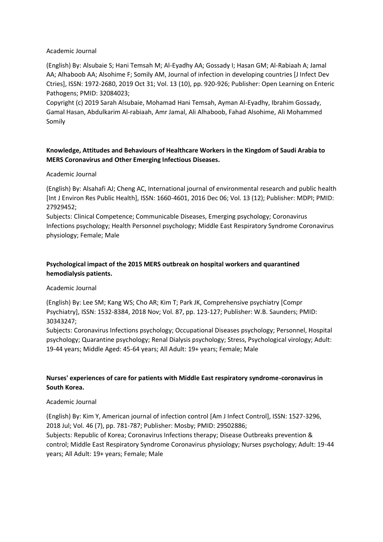#### Academic Journal

(English) By: Alsubaie S; Hani Temsah M; Al-Eyadhy AA; Gossady I; Hasan GM; Al-Rabiaah A; Jamal AA; Alhaboob AA; Alsohime F; Somily AM, Journal of infection in developing countries [J Infect Dev Ctries], ISSN: 1972-2680, 2019 Oct 31; Vol. 13 (10), pp. 920-926; Publisher: Open Learning on Enteric Pathogens; PMID: 32084023;

Copyright (c) 2019 Sarah Alsubaie, Mohamad Hani Temsah, Ayman Al-Eyadhy, Ibrahim Gossady, Gamal Hasan, Abdulkarim Al-rabiaah, Amr Jamal, Ali Alhaboob, Fahad Alsohime, Ali Mohammed Somily

# **Knowledge, Attitudes and Behaviours of Healthcare Workers in the Kingdom of Saudi Arabia to MERS Coronavirus and Other Emerging Infectious Diseases.**

#### Academic Journal

(English) By: Alsahafi AJ; Cheng AC, International journal of environmental research and public health [Int J Environ Res Public Health], ISSN: 1660-4601, 2016 Dec 06; Vol. 13 (12); Publisher: MDPI; PMID: 27929452;

Subjects: Clinical Competence; Communicable Diseases, Emerging psychology; Coronavirus Infections psychology; Health Personnel psychology; Middle East Respiratory Syndrome Coronavirus physiology; Female; Male

# **Psychological impact of the 2015 MERS outbreak on hospital workers and quarantined hemodialysis patients.**

# Academic Journal

(English) By: Lee SM; Kang WS; Cho AR; Kim T; Park JK, Comprehensive psychiatry [Compr Psychiatry], ISSN: 1532-8384, 2018 Nov; Vol. 87, pp. 123-127; Publisher: W.B. Saunders; PMID: 30343247;

Subjects: Coronavirus Infections psychology; Occupational Diseases psychology; Personnel, Hospital psychology; Quarantine psychology; Renal Dialysis psychology; Stress, Psychological virology; Adult: 19-44 years; Middle Aged: 45-64 years; All Adult: 19+ years; Female; Male

# **Nurses' experiences of care for patients with Middle East respiratory syndrome-coronavirus in South Korea.**

#### Academic Journal

(English) By: Kim Y, American journal of infection control [Am J Infect Control], ISSN: 1527-3296, 2018 Jul; Vol. 46 (7), pp. 781-787; Publisher: Mosby; PMID: 29502886; Subjects: Republic of Korea; Coronavirus Infections therapy; Disease Outbreaks prevention & control; Middle East Respiratory Syndrome Coronavirus physiology; Nurses psychology; Adult: 19-44 years; All Adult: 19+ years; Female; Male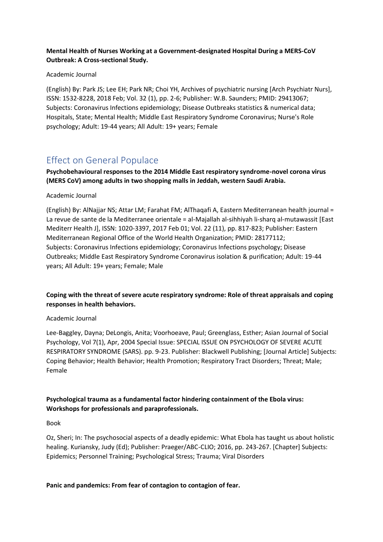# **Mental Health of Nurses Working at a Government-designated Hospital During a MERS-CoV Outbreak: A Cross-sectional Study.**

#### Academic Journal

(English) By: Park JS; Lee EH; Park NR; Choi YH, Archives of psychiatric nursing [Arch Psychiatr Nurs], ISSN: 1532-8228, 2018 Feb; Vol. 32 (1), pp. 2-6; Publisher: W.B. Saunders; PMID: 29413067; Subjects: Coronavirus Infections epidemiology; Disease Outbreaks statistics & numerical data; Hospitals, State; Mental Health; Middle East Respiratory Syndrome Coronavirus; Nurse's Role psychology; Adult: 19-44 years; All Adult: 19+ years; Female

# Effect on General Populace

**Psychobehavioural responses to the 2014 Middle East respiratory syndrome-novel corona virus (MERS CoV) among adults in two shopping malls in Jeddah, western Saudi Arabia.**

# Academic Journal

(English) By: AlNajjar NS; Attar LM; Farahat FM; AlThaqafi A, Eastern Mediterranean health journal = La revue de sante de la Mediterranee orientale = al-Majallah al-sihhiyah li-sharq al-mutawassit [East Mediterr Health J], ISSN: 1020-3397, 2017 Feb 01; Vol. 22 (11), pp. 817-823; Publisher: Eastern Mediterranean Regional Office of the World Health Organization; PMID: 28177112; Subjects: Coronavirus Infections epidemiology; Coronavirus Infections psychology; Disease Outbreaks; Middle East Respiratory Syndrome Coronavirus isolation & purification; Adult: 19-44 years; All Adult: 19+ years; Female; Male

# **Coping with the threat of severe acute respiratory syndrome: Role of threat appraisals and coping responses in health behaviors.**

# Academic Journal

Lee-Baggley, Dayna; DeLongis, Anita; Voorhoeave, Paul; Greenglass, Esther; Asian Journal of Social Psychology, Vol 7(1), Apr, 2004 Special Issue: SPECIAL ISSUE ON PSYCHOLOGY OF SEVERE ACUTE RESPIRATORY SYNDROME (SARS). pp. 9-23. Publisher: Blackwell Publishing; [Journal Article] Subjects: Coping Behavior; Health Behavior; Health Promotion; Respiratory Tract Disorders; Threat; Male; Female

# **Psychological trauma as a fundamental factor hindering containment of the Ebola virus: Workshops for professionals and paraprofessionals.**

#### Book

Oz, Sheri; In: The psychosocial aspects of a deadly epidemic: What Ebola has taught us about holistic healing. Kuriansky, Judy (Ed); Publisher: Praeger/ABC-CLIO; 2016, pp. 243-267. [Chapter] Subjects: Epidemics; Personnel Training; Psychological Stress; Trauma; Viral Disorders

# **Panic and pandemics: From fear of contagion to contagion of fear.**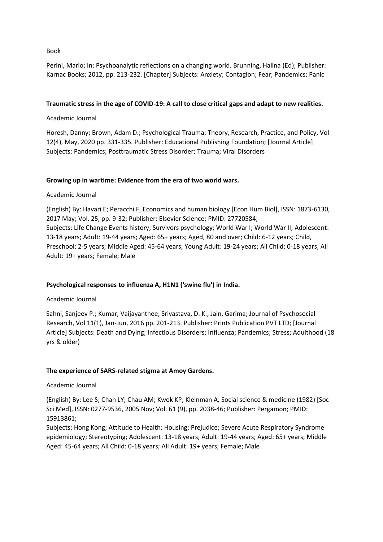#### Book

Perini, Mario; In: Psychoanalytic reflections on a changing world. Brunning, Halina (Ed); Publisher: Karnac Books; 2012, pp. 213-232. [Chapter] Subjects: Anxiety; Contagion; Fear; Pandemics; Panic

#### **Traumatic stress in the age of COVID-19: A call to close critical gaps and adapt to new realities.**

Academic Journal

Horesh, Danny; Brown, Adam D.; Psychological Trauma: Theory, Research, Practice, and Policy, Vol 12(4), May, 2020 pp. 331-335. Publisher: Educational Publishing Foundation; [Journal Article] Subjects: Pandemics; Posttraumatic Stress Disorder; Trauma; Viral Disorders

#### **Growing up in wartime: Evidence from the era of two world wars.**

#### Academic Journal

(English) By: Havari E; Peracchi F, Economics and human biology [Econ Hum Biol], ISSN: 1873-6130, 2017 May; Vol. 25, pp. 9-32; Publisher: Elsevier Science; PMID: 27720584; Subjects: Life Change Events history; Survivors psychology; World War I; World War II; Adolescent: 13-18 years; Adult: 19-44 years; Aged: 65+ years; Aged, 80 and over; Child: 6-12 years; Child, Preschool: 2-5 years; Middle Aged: 45-64 years; Young Adult: 19-24 years; All Child: 0-18 years; All Adult: 19+ years; Female; Male

#### **Psychological responses to influenza A, H1N1 ('swine flu') in India.**

#### Academic Journal

Sahni, Sanjeev P.; Kumar, Vaijayanthee; Srivastava, D. K.; Jain, Garima; Journal of Psychosocial Research, Vol 11(1), Jan-Jun, 2016 pp. 201-213. Publisher: Prints Publication PVT LTD; [Journal Article] Subjects: Death and Dying; Infectious Disorders; Influenza; Pandemics; Stress; Adulthood (18 yrs & older)

#### **The experience of SARS-related stigma at Amoy Gardens.**

#### Academic Journal

(English) By: Lee S; Chan LY; Chau AM; Kwok KP; Kleinman A, Social science & medicine (1982) [Soc Sci Med], ISSN: 0277-9536, 2005 Nov; Vol. 61 (9), pp. 2038-46; Publisher: Pergamon; PMID: 15913861;

Subjects: Hong Kong; Attitude to Health; Housing; Prejudice; Severe Acute Respiratory Syndrome epidemiology; Stereotyping; Adolescent: 13-18 years; Adult: 19-44 years; Aged: 65+ years; Middle Aged: 45-64 years; All Child: 0-18 years; All Adult: 19+ years; Female; Male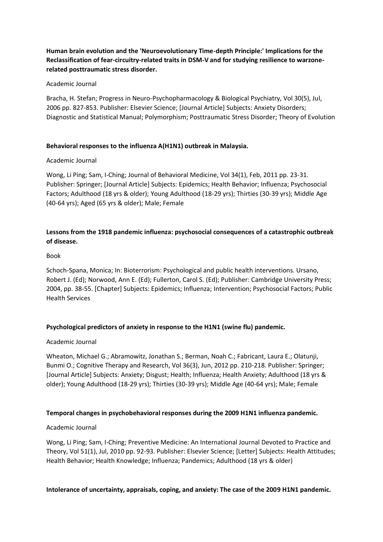**Human brain evolution and the 'Neuroevolutionary Time-depth Principle:' Implications for the Reclassification of fear-circuitry-related traits in DSM-V and for studying resilience to warzonerelated posttraumatic stress disorder.**

#### Academic Journal

Bracha, H. Stefan; Progress in Neuro-Psychopharmacology & Biological Psychiatry, Vol 30(5), Jul, 2006 pp. 827-853. Publisher: Elsevier Science; [Journal Article] Subjects: Anxiety Disorders; Diagnostic and Statistical Manual; Polymorphism; Posttraumatic Stress Disorder; Theory of Evolution

#### **Behavioral responses to the influenza A(H1N1) outbreak in Malaysia.**

#### Academic Journal

Wong, Li Ping; Sam, I-Ching; Journal of Behavioral Medicine, Vol 34(1), Feb, 2011 pp. 23-31. Publisher: Springer; [Journal Article] Subjects: Epidemics; Health Behavior; Influenza; Psychosocial Factors; Adulthood (18 yrs & older); Young Adulthood (18-29 yrs); Thirties (30-39 yrs); Middle Age (40-64 yrs); Aged (65 yrs & older); Male; Female

# **Lessons from the 1918 pandemic influenza: psychosocial consequences of a catastrophic outbreak of disease.**

#### Book

Schoch-Spana, Monica; In: Bioterrorism: Psychological and public health interventions. Ursano, Robert J. (Ed); Norwood, Ann E. (Ed); Fullerton, Carol S. (Ed); Publisher: Cambridge University Press; 2004, pp. 38-55. [Chapter] Subjects: Epidemics; Influenza; Intervention; Psychosocial Factors; Public Health Services

#### **Psychological predictors of anxiety in response to the H1N1 (swine flu) pandemic.**

#### Academic Journal

Wheaton, Michael G.; Abramowitz, Jonathan S.; Berman, Noah C.; Fabricant, Laura E.; Olatunji, Bunmi O.; Cognitive Therapy and Research, Vol 36(3), Jun, 2012 pp. 210-218. Publisher: Springer; [Journal Article] Subjects: Anxiety; Disgust; Health; Influenza; Health Anxiety; Adulthood (18 yrs & older); Young Adulthood (18-29 yrs); Thirties (30-39 yrs); Middle Age (40-64 yrs); Male; Female

# **Temporal changes in psychobehavioral responses during the 2009 H1N1 influenza pandemic.**

#### Academic Journal

Wong, Li Ping; Sam, I-Ching; Preventive Medicine: An International Journal Devoted to Practice and Theory, Vol 51(1), Jul, 2010 pp. 92-93. Publisher: Elsevier Science; [Letter] Subjects: Health Attitudes; Health Behavior; Health Knowledge; Influenza; Pandemics; Adulthood (18 yrs & older)

#### **Intolerance of uncertainty, appraisals, coping, and anxiety: The case of the 2009 H1N1 pandemic.**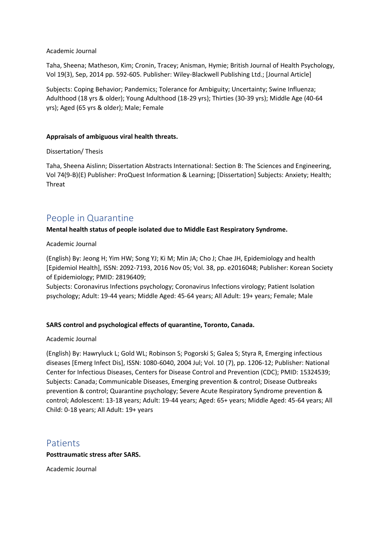#### Academic Journal

Taha, Sheena; Matheson, Kim; Cronin, Tracey; Anisman, Hymie; British Journal of Health Psychology, Vol 19(3), Sep, 2014 pp. 592-605. Publisher: Wiley-Blackwell Publishing Ltd.; [Journal Article]

Subjects: Coping Behavior; Pandemics; Tolerance for Ambiguity; Uncertainty; Swine Influenza; Adulthood (18 yrs & older); Young Adulthood (18-29 yrs); Thirties (30-39 yrs); Middle Age (40-64 yrs); Aged (65 yrs & older); Male; Female

#### **Appraisals of ambiguous viral health threats.**

Dissertation/ Thesis

Taha, Sheena Aislinn; Dissertation Abstracts International: Section B: The Sciences and Engineering, Vol 74(9-B)(E) Publisher: ProQuest Information & Learning; [Dissertation] Subjects: Anxiety; Health; Threat

# People in Quarantine

#### **Mental health status of people isolated due to Middle East Respiratory Syndrome.**

Academic Journal

(English) By: Jeong H; Yim HW; Song YJ; Ki M; Min JA; Cho J; Chae JH, Epidemiology and health [Epidemiol Health], ISSN: 2092-7193, 2016 Nov 05; Vol. 38, pp. e2016048; Publisher: Korean Society of Epidemiology; PMID: 28196409;

Subjects: Coronavirus Infections psychology; Coronavirus Infections virology; Patient Isolation psychology; Adult: 19-44 years; Middle Aged: 45-64 years; All Adult: 19+ years; Female; Male

# **SARS control and psychological effects of quarantine, Toronto, Canada.**

#### Academic Journal

(English) By: Hawryluck L; Gold WL; Robinson S; Pogorski S; Galea S; Styra R, Emerging infectious diseases [Emerg Infect Dis], ISSN: 1080-6040, 2004 Jul; Vol. 10 (7), pp. 1206-12; Publisher: National Center for Infectious Diseases, Centers for Disease Control and Prevention (CDC); PMID: 15324539; Subjects: Canada; Communicable Diseases, Emerging prevention & control; Disease Outbreaks prevention & control; Quarantine psychology; Severe Acute Respiratory Syndrome prevention & control; Adolescent: 13-18 years; Adult: 19-44 years; Aged: 65+ years; Middle Aged: 45-64 years; All Child: 0-18 years; All Adult: 19+ years

# Patients

#### **Posttraumatic stress after SARS.**

Academic Journal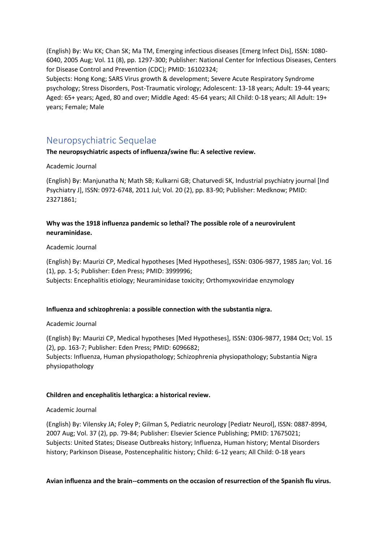(English) By: Wu KK; Chan SK; Ma TM, Emerging infectious diseases [Emerg Infect Dis], ISSN: 1080- 6040, 2005 Aug; Vol. 11 (8), pp. 1297-300; Publisher: National Center for Infectious Diseases, Centers for Disease Control and Prevention (CDC); PMID: 16102324;

Subjects: Hong Kong; SARS Virus growth & development; Severe Acute Respiratory Syndrome psychology; Stress Disorders, Post-Traumatic virology; Adolescent: 13-18 years; Adult: 19-44 years; Aged: 65+ years; Aged, 80 and over; Middle Aged: 45-64 years; All Child: 0-18 years; All Adult: 19+ years; Female; Male

# Neuropsychiatric Sequelae

**The neuropsychiatric aspects of influenza/swine flu: A selective review.**

#### Academic Journal

(English) By: Manjunatha N; Math SB; Kulkarni GB; Chaturvedi SK, Industrial psychiatry journal [Ind Psychiatry J], ISSN: 0972-6748, 2011 Jul; Vol. 20 (2), pp. 83-90; Publisher: Medknow; PMID: 23271861;

# **Why was the 1918 influenza pandemic so lethal? The possible role of a neurovirulent neuraminidase.**

#### Academic Journal

(English) By: Maurizi CP, Medical hypotheses [Med Hypotheses], ISSN: 0306-9877, 1985 Jan; Vol. 16 (1), pp. 1-5; Publisher: Eden Press; PMID: 3999996; Subjects: Encephalitis etiology; Neuraminidase toxicity; Orthomyxoviridae enzymology

# **Influenza and schizophrenia: a possible connection with the substantia nigra.**

# Academic Journal

(English) By: Maurizi CP, Medical hypotheses [Med Hypotheses], ISSN: 0306-9877, 1984 Oct; Vol. 15 (2), pp. 163-7; Publisher: Eden Press; PMID: 6096682; Subjects: Influenza, Human physiopathology; Schizophrenia physiopathology; Substantia Nigra physiopathology

# **Children and encephalitis lethargica: a historical review.**

#### Academic Journal

(English) By: Vilensky JA; Foley P; Gilman S, Pediatric neurology [Pediatr Neurol], ISSN: 0887-8994, 2007 Aug; Vol. 37 (2), pp. 79-84; Publisher: Elsevier Science Publishing; PMID: 17675021; Subjects: United States; Disease Outbreaks history; Influenza, Human history; Mental Disorders history; Parkinson Disease, Postencephalitic history; Child: 6-12 years; All Child: 0-18 years

#### **Avian influenza and the brain--comments on the occasion of resurrection of the Spanish flu virus.**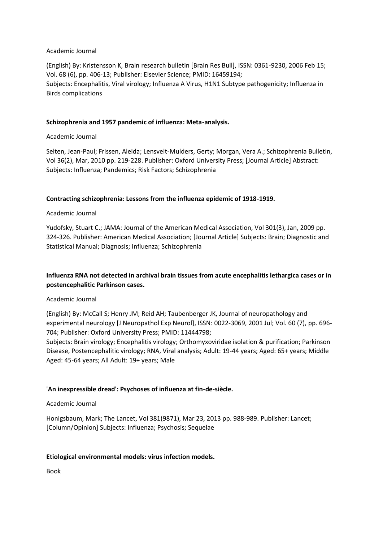#### Academic Journal

(English) By: Kristensson K, Brain research bulletin [Brain Res Bull], ISSN: 0361-9230, 2006 Feb 15; Vol. 68 (6), pp. 406-13; Publisher: Elsevier Science; PMID: 16459194; Subjects: Encephalitis, Viral virology; Influenza A Virus, H1N1 Subtype pathogenicity; Influenza in Birds complications

### **Schizophrenia and 1957 pandemic of influenza: Meta-analysis.**

### Academic Journal

Selten, Jean-Paul; Frissen, Aleida; Lensvelt-Mulders, Gerty; Morgan, Vera A.; Schizophrenia Bulletin, Vol 36(2), Mar, 2010 pp. 219-228. Publisher: Oxford University Press; [Journal Article] Abstract: Subjects: Influenza; Pandemics; Risk Factors; Schizophrenia

#### **Contracting schizophrenia: Lessons from the influenza epidemic of 1918-1919.**

#### Academic Journal

Yudofsky, Stuart C.; JAMA: Journal of the American Medical Association, Vol 301(3), Jan, 2009 pp. 324-326. Publisher: American Medical Association; [Journal Article] Subjects: Brain; Diagnostic and Statistical Manual; Diagnosis; Influenza; Schizophrenia

# **Influenza RNA not detected in archival brain tissues from acute encephalitis lethargica cases or in postencephalitic Parkinson cases.**

#### Academic Journal

(English) By: McCall S; Henry JM; Reid AH; Taubenberger JK, Journal of neuropathology and experimental neurology [J Neuropathol Exp Neurol], ISSN: 0022-3069, 2001 Jul; Vol. 60 (7), pp. 696- 704; Publisher: Oxford University Press; PMID: 11444798;

Subjects: Brain virology; Encephalitis virology; Orthomyxoviridae isolation & purification; Parkinson Disease, Postencephalitic virology; RNA, Viral analysis; Adult: 19-44 years; Aged: 65+ years; Middle Aged: 45-64 years; All Adult: 19+ years; Male

# '**An inexpressible dread': Psychoses of influenza at fin-de-siècle.**

#### Academic Journal

Honigsbaum, Mark; The Lancet, Vol 381(9871), Mar 23, 2013 pp. 988-989. Publisher: Lancet; [Column/Opinion] Subjects: Influenza; Psychosis; Sequelae

# **Etiological environmental models: virus infection models.**

Book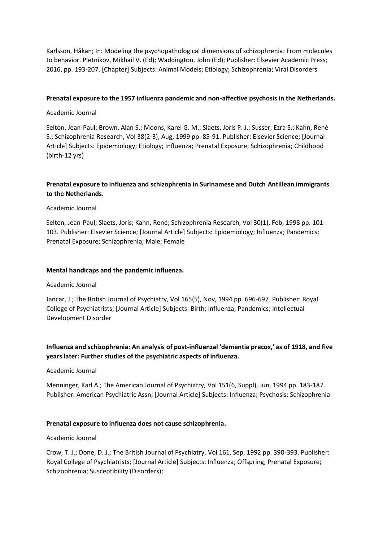Karlsson, Håkan; In: Modeling the psychopathological dimensions of schizophrenia: From molecules to behavior. Pletnikov, Mikhail V. (Ed); Waddington, John (Ed); Publisher: Elsevier Academic Press; 2016, pp. 193-207. [Chapter] Subjects: Animal Models; Etiology; Schizophrenia; Viral Disorders

#### **Prenatal exposure to the 1957 influenza pandemic and non-affective psychosis in the Netherlands.**

### Academic Journal

Selton, Jean-Paul; Brown, Alan S.; Moons, Karel G. M.; Slaets, Joris P. J.; Susser, Ezra S.; Kahn, René S.; Schizophrenia Research, Vol 38(2-3), Aug, 1999 pp. 85-91. Publisher: Elsevier Science; [Journal Article] Subjects: Epidemiology; Etiology; Influenza; Prenatal Exposure; Schizophrenia; Childhood (birth-12 yrs)

# **Prenatal exposure to influenza and schizophrenia in Surinamese and Dutch Antillean immigrants to the Netherlands.**

#### Academic Journal

Selten, Jean-Paul; Slaets, Joris; Kahn, René; Schizophrenia Research, Vol 30(1), Feb, 1998 pp. 101- 103. Publisher: Elsevier Science; [Journal Article] Subjects: Epidemiology; Influenza; Pandemics; Prenatal Exposure; Schizophrenia; Male; Female

#### **Mental handicaps and the pandemic influenza.**

#### Academic Journal

Jancar, J.; The British Journal of Psychiatry, Vol 165(5), Nov, 1994 pp. 696-697. Publisher: Royal College of Psychiatrists; [Journal Article] Subjects: Birth; Influenza; Pandemics; Intellectual Development Disorder

# **Influenza and schizophrenia: An analysis of post-influenzal 'dementia precox,' as of 1918, and five years later: Further studies of the psychiatric aspects of influenza.**

#### Academic Journal

Menninger, Karl A.; The American Journal of Psychiatry, Vol 151(6, Suppl), Jun, 1994 pp. 183-187. Publisher: American Psychiatric Assn; [Journal Article] Subjects: Influenza; Psychosis; Schizophrenia

#### **Prenatal exposure to influenza does not cause schizophrenia.**

#### Academic Journal

Crow, T. J.; Done, D. J.; The British Journal of Psychiatry, Vol 161, Sep, 1992 pp. 390-393. Publisher: Royal College of Psychiatrists; [Journal Article] Subjects: Influenza; Offspring; Prenatal Exposure; Schizophrenia; Susceptibility (Disorders);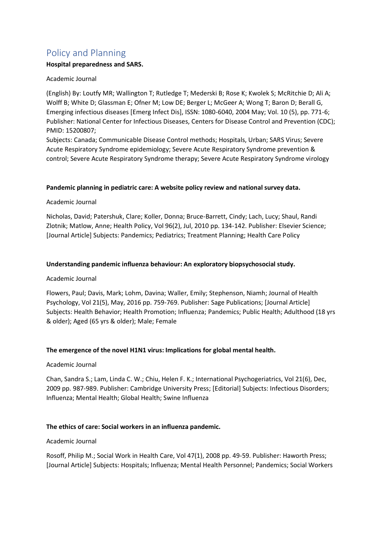# Policy and Planning

# **Hospital preparedness and SARS.**

# Academic Journal

(English) By: Loutfy MR; Wallington T; Rutledge T; Mederski B; Rose K; Kwolek S; McRitchie D; Ali A; Wolff B; White D; Glassman E; Ofner M; Low DE; Berger L; McGeer A; Wong T; Baron D; Berall G, Emerging infectious diseases [Emerg Infect Dis], ISSN: 1080-6040, 2004 May; Vol. 10 (5), pp. 771-6; Publisher: National Center for Infectious Diseases, Centers for Disease Control and Prevention (CDC); PMID: 15200807;

Subjects: Canada; Communicable Disease Control methods; Hospitals, Urban; SARS Virus; Severe Acute Respiratory Syndrome epidemiology; Severe Acute Respiratory Syndrome prevention & control; Severe Acute Respiratory Syndrome therapy; Severe Acute Respiratory Syndrome virology

#### **Pandemic planning in pediatric care: A website policy review and national survey data.**

#### Academic Journal

Nicholas, David; Patershuk, Clare; Koller, Donna; Bruce-Barrett, Cindy; Lach, Lucy; Shaul, Randi Zlotnik; Matlow, Anne; Health Policy, Vol 96(2), Jul, 2010 pp. 134-142. Publisher: Elsevier Science; [Journal Article] Subjects: Pandemics; Pediatrics; Treatment Planning; Health Care Policy

#### **Understanding pandemic influenza behaviour: An exploratory biopsychosocial study.**

# Academic Journal

Flowers, Paul; Davis, Mark; Lohm, Davina; Waller, Emily; Stephenson, Niamh; Journal of Health Psychology, Vol 21(5), May, 2016 pp. 759-769. Publisher: Sage Publications; [Journal Article] Subjects: Health Behavior; Health Promotion; Influenza; Pandemics; Public Health; Adulthood (18 yrs & older); Aged (65 yrs & older); Male; Female

# **The emergence of the novel H1N1 virus: Implications for global mental health.**

#### Academic Journal

Chan, Sandra S.; Lam, Linda C. W.; Chiu, Helen F. K.; International Psychogeriatrics, Vol 21(6), Dec, 2009 pp. 987-989. Publisher: Cambridge University Press; [Editorial] Subjects: Infectious Disorders; Influenza; Mental Health; Global Health; Swine Influenza

# **The ethics of care: Social workers in an influenza pandemic.**

#### Academic Journal

Rosoff, Philip M.; Social Work in Health Care, Vol 47(1), 2008 pp. 49-59. Publisher: Haworth Press; [Journal Article] Subjects: Hospitals; Influenza; Mental Health Personnel; Pandemics; Social Workers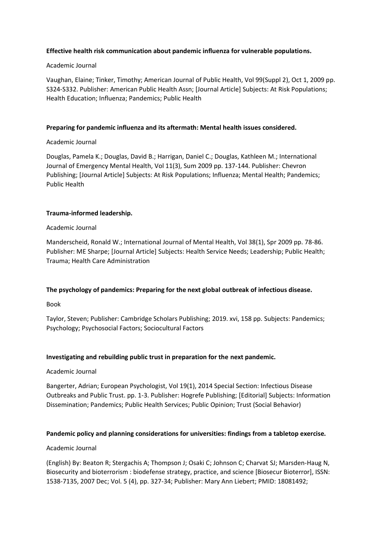#### **Effective health risk communication about pandemic influenza for vulnerable populations.**

#### Academic Journal

Vaughan, Elaine; Tinker, Timothy; American Journal of Public Health, Vol 99(Suppl 2), Oct 1, 2009 pp. S324-S332. Publisher: American Public Health Assn; [Journal Article] Subjects: At Risk Populations; Health Education; Influenza; Pandemics; Public Health

#### **Preparing for pandemic influenza and its aftermath: Mental health issues considered.**

#### Academic Journal

Douglas, Pamela K.; Douglas, David B.; Harrigan, Daniel C.; Douglas, Kathleen M.; International Journal of Emergency Mental Health, Vol 11(3), Sum 2009 pp. 137-144. Publisher: Chevron Publishing; [Journal Article] Subjects: At Risk Populations; Influenza; Mental Health; Pandemics; Public Health

#### **Trauma-informed leadership.**

#### Academic Journal

Manderscheid, Ronald W.; International Journal of Mental Health, Vol 38(1), Spr 2009 pp. 78-86. Publisher: ME Sharpe; [Journal Article] Subjects: Health Service Needs; Leadership; Public Health; Trauma; Health Care Administration

#### **The psychology of pandemics: Preparing for the next global outbreak of infectious disease.**

Book

Taylor, Steven; Publisher: Cambridge Scholars Publishing; 2019. xvi, 158 pp. Subjects: Pandemics; Psychology; Psychosocial Factors; Sociocultural Factors

#### **Investigating and rebuilding public trust in preparation for the next pandemic.**

#### Academic Journal

Bangerter, Adrian; European Psychologist, Vol 19(1), 2014 Special Section: Infectious Disease Outbreaks and Public Trust. pp. 1-3. Publisher: Hogrefe Publishing; [Editorial] Subjects: Information Dissemination; Pandemics; Public Health Services; Public Opinion; Trust (Social Behavior)

#### **Pandemic policy and planning considerations for universities: findings from a tabletop exercise.**

#### Academic Journal

(English) By: Beaton R; Stergachis A; Thompson J; Osaki C; Johnson C; Charvat SJ; Marsden-Haug N, Biosecurity and bioterrorism : biodefense strategy, practice, and science [Biosecur Bioterror], ISSN: 1538-7135, 2007 Dec; Vol. 5 (4), pp. 327-34; Publisher: Mary Ann Liebert; PMID: 18081492;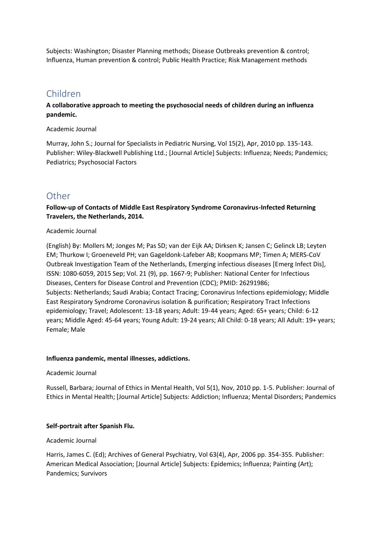Subjects: Washington; Disaster Planning methods; Disease Outbreaks prevention & control; Influenza, Human prevention & control; Public Health Practice; Risk Management methods

# Children

**A collaborative approach to meeting the psychosocial needs of children during an influenza pandemic.**

#### Academic Journal

Murray, John S.; Journal for Specialists in Pediatric Nursing, Vol 15(2), Apr, 2010 pp. 135-143. Publisher: Wiley-Blackwell Publishing Ltd.; [Journal Article] Subjects: Influenza; Needs; Pandemics; Pediatrics; Psychosocial Factors

# **Other**

**Follow-up of Contacts of Middle East Respiratory Syndrome Coronavirus-Infected Returning Travelers, the Netherlands, 2014.**

# Academic Journal

(English) By: Mollers M; Jonges M; Pas SD; van der Eijk AA; Dirksen K; Jansen C; Gelinck LB; Leyten EM; Thurkow I; Groeneveld PH; van Gageldonk-Lafeber AB; Koopmans MP; Timen A; MERS-CoV Outbreak Investigation Team of the Netherlands, Emerging infectious diseases [Emerg Infect Dis], ISSN: 1080-6059, 2015 Sep; Vol. 21 (9), pp. 1667-9; Publisher: National Center for Infectious Diseases, Centers for Disease Control and Prevention (CDC); PMID: 26291986; Subjects: Netherlands; Saudi Arabia; Contact Tracing; Coronavirus Infections epidemiology; Middle East Respiratory Syndrome Coronavirus isolation & purification; Respiratory Tract Infections epidemiology; Travel; Adolescent: 13-18 years; Adult: 19-44 years; Aged: 65+ years; Child: 6-12 years; Middle Aged: 45-64 years; Young Adult: 19-24 years; All Child: 0-18 years; All Adult: 19+ years; Female; Male

# **Influenza pandemic, mental illnesses, addictions.**

# Academic Journal

Russell, Barbara; Journal of Ethics in Mental Health, Vol 5(1), Nov, 2010 pp. 1-5. Publisher: Journal of Ethics in Mental Health; [Journal Article] Subjects: Addiction; Influenza; Mental Disorders; Pandemics

# **Self-portrait after Spanish Flu.**

# Academic Journal

Harris, James C. (Ed); Archives of General Psychiatry, Vol 63(4), Apr, 2006 pp. 354-355. Publisher: American Medical Association; [Journal Article] Subjects: Epidemics; Influenza; Painting (Art); Pandemics; Survivors